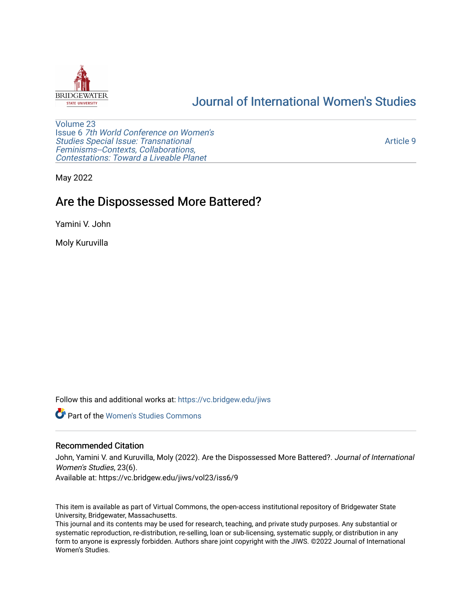

# [Journal of International Women's Studies](https://vc.bridgew.edu/jiws)

[Volume 23](https://vc.bridgew.edu/jiws/vol23) Issue 6 [7th World Conference on Women's](https://vc.bridgew.edu/jiws/vol23/iss6)  [Studies Special Issue: Transnational](https://vc.bridgew.edu/jiws/vol23/iss6)  [Feminisms--Contexts, Collaborations,](https://vc.bridgew.edu/jiws/vol23/iss6)  [Contestations: Toward a Liveable Planet](https://vc.bridgew.edu/jiws/vol23/iss6) 

[Article 9](https://vc.bridgew.edu/jiws/vol23/iss6/9) 

May 2022

# Are the Dispossessed More Battered?

Yamini V. John

Moly Kuruvilla

Follow this and additional works at: [https://vc.bridgew.edu/jiws](https://vc.bridgew.edu/jiws?utm_source=vc.bridgew.edu%2Fjiws%2Fvol23%2Fiss6%2F9&utm_medium=PDF&utm_campaign=PDFCoverPages)

**C** Part of the Women's Studies Commons

#### Recommended Citation

John, Yamini V. and Kuruvilla, Moly (2022). Are the Dispossessed More Battered?. Journal of International Women's Studies, 23(6).

Available at: https://vc.bridgew.edu/jiws/vol23/iss6/9

This item is available as part of Virtual Commons, the open-access institutional repository of Bridgewater State University, Bridgewater, Massachusetts.

This journal and its contents may be used for research, teaching, and private study purposes. Any substantial or systematic reproduction, re-distribution, re-selling, loan or sub-licensing, systematic supply, or distribution in any form to anyone is expressly forbidden. Authors share joint copyright with the JIWS. ©2022 Journal of International Women's Studies.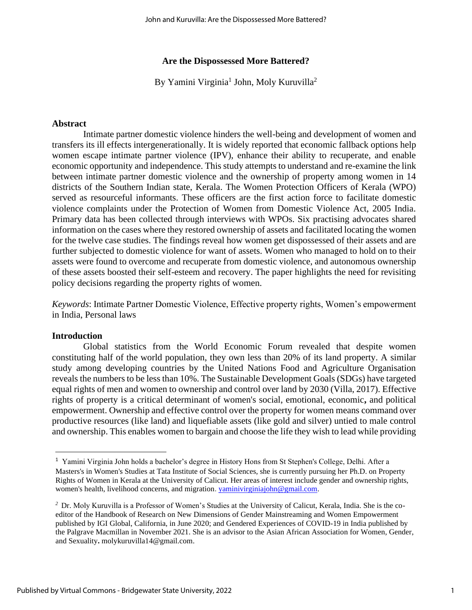#### **Are the Dispossessed More Battered?**

By Yamini Virginia<sup>1</sup> John, Moly Kuruvilla<sup>2</sup>

#### **Abstract**

Intimate partner domestic violence hinders the well-being and development of women and transfers its ill effects intergenerationally. It is widely reported that economic fallback options help women escape intimate partner violence (IPV), enhance their ability to recuperate, and enable economic opportunity and independence. This study attempts to understand and re-examine the link between intimate partner domestic violence and the ownership of property among women in 14 districts of the Southern Indian state, Kerala. The Women Protection Officers of Kerala (WPO) served as resourceful informants. These officers are the first action force to facilitate domestic violence complaints under the Protection of Women from Domestic Violence Act, 2005 India. Primary data has been collected through interviews with WPOs. Six practising advocates shared information on the cases where they restored ownership of assets and facilitated locating the women for the twelve case studies. The findings reveal how women get dispossessed of their assets and are further subjected to domestic violence for want of assets. Women who managed to hold on to their assets were found to overcome and recuperate from domestic violence, and autonomous ownership of these assets boosted their self-esteem and recovery. The paper highlights the need for revisiting policy decisions regarding the property rights of women.

*Keywords*: Intimate Partner Domestic Violence, Effective property rights, Women's empowerment in India, Personal laws

#### **Introduction**

Global statistics from the World Economic Forum revealed that despite women constituting half of the world population, they own less than 20% of its land property. A similar study among developing countries by the United Nations Food and Agriculture Organisation reveals the numbers to be less than 10%. The Sustainable Development Goals (SDGs) have targeted equal rights of men and women to ownership and control over land by 2030 (Villa, 2017). Effective rights of property is a critical determinant of women's social, emotional, economic**,** and political empowerment. Ownership and effective control over the property for women means command over productive resources (like land) and liquefiable assets (like gold and silver) untied to male control and ownership. This enables women to bargain and choose the life they wish to lead while providing

<sup>&</sup>lt;sup>1</sup> Yamini Virginia John holds a bachelor's degree in History Hons from St Stephen's College, Delhi. After a Masters's in Women's Studies at Tata Institute of Social Sciences, she is currently pursuing her Ph.D. on Property Rights of Women in Kerala at the University of Calicut. Her areas of interest include gender and ownership rights, women's health, livelihood concerns, and migration. [yaminivirginiajohn@gmail.com.](mailto:yaminivirginiajohn@gmail.com)

*<sup>2</sup>* Dr. Moly Kuruvilla is a Professor of Women's Studies at the University of Calicut, Kerala, India. She is the coeditor of the Handbook of Research on New Dimensions of Gender Mainstreaming and Women Empowerment published by IGI Global, California, in June 2020; and Gendered Experiences of COVID-19 in India published by the Palgrave Macmillan in November 2021. She is an advisor to the Asian African Association for Women, Gender, and Sexuality**.** molykuruvilla14@gmail.com.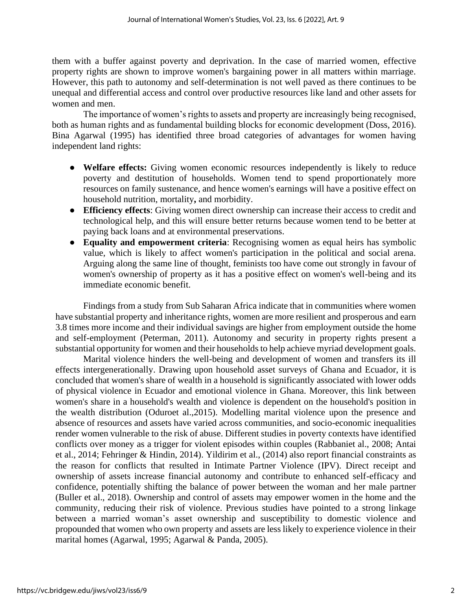them with a buffer against poverty and deprivation. In the case of married women, effective property rights are shown to improve women's bargaining power in all matters within marriage. However, this path to autonomy and self-determination is not well paved as there continues to be unequal and differential access and control over productive resources like land and other assets for women and men.

The importance of women's rights to assets and property are increasingly being recognised, both as human rights and as fundamental building blocks for economic development (Doss, 2016). Bina Agarwal (1995) has identified three broad categories of advantages for women having independent land rights:

- **Welfare effects:** Giving women economic resources independently is likely to reduce poverty and destitution of households. Women tend to spend proportionately more resources on family sustenance, and hence women's earnings will have a positive effect on household nutrition, mortality**,** and morbidity.
- **Efficiency effects**: Giving women direct ownership can increase their access to credit and technological help, and this will ensure better returns because women tend to be better at paying back loans and at environmental preservations.
- **Equality and empowerment criteria**: Recognising women as equal heirs has symbolic value, which is likely to affect women's participation in the political and social arena. Arguing along the same line of thought, feminists too have come out strongly in favour of women's ownership of property as it has a positive effect on women's well-being and its immediate economic benefit.

Findings from a study from Sub Saharan Africa indicate that in communities where women have substantial property and inheritance rights, women are more resilient and prosperous and earn 3.8 times more income and their individual savings are higher from employment outside the home and self-employment (Peterman, 2011). Autonomy and security in property rights present a substantial opportunity for women and their households to help achieve myriad development goals.

Marital violence hinders the well-being and development of women and transfers its ill effects intergenerationally. Drawing upon household asset surveys of Ghana and Ecuador, it is concluded that women's share of wealth in a household is significantly associated with lower odds of physical violence in Ecuador and emotional violence in Ghana. Moreover, this link between women's share in a household's wealth and violence is dependent on the household's position in the wealth distribution (Oduroet al.,2015). Modelling marital violence upon the presence and absence of resources and assets have varied across communities, and socio-economic inequalities render women vulnerable to the risk of abuse. Different studies in poverty contexts have identified conflicts over money as a trigger for violent episodes within couples (Rabbaniet al., 2008; Antai et al., 2014; Fehringer & Hindin, 2014). Yildirim et al., (2014) also report financial constraints as the reason for conflicts that resulted in Intimate Partner Violence (IPV). Direct receipt and ownership of assets increase financial autonomy and contribute to enhanced self-efficacy and confidence, potentially shifting the balance of power between the woman and her male partner (Buller et al., 2018). Ownership and control of assets may empower women in the home and the community, reducing their risk of violence. Previous studies have pointed to a strong linkage between a married woman's asset ownership and susceptibility to domestic violence and propounded that women who own property and assets are less likely to experience violence in their marital homes (Agarwal, 1995; Agarwal & Panda, 2005).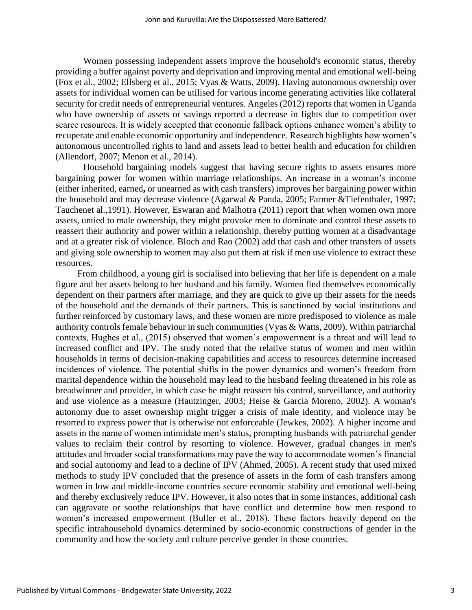Women possessing independent assets improve the household's economic status, thereby providing a buffer against poverty and deprivation and improving mental and emotional well-being (Fox et al., 2002; Ellsberg et al., 2015; Vyas & Watts, 2009). Having autonomous ownership over assets for individual women can be utilised for various income generating activities like collateral security for credit needs of entrepreneurial ventures. Angeles (2012) reports that women in Uganda who have ownership of assets or savings reported a decrease in fights due to competition over scarce resources. It is widely accepted that economic fallback options enhance women's ability to recuperate and enable economic opportunity and independence. Research highlights how women's autonomous uncontrolled rights to land and assets lead to better health and education for children (Allendorf, 2007; Menon et al., 2014).

Household bargaining models suggest that having secure rights to assets ensures more bargaining power for women within marriage relationships. An increase in a woman's income (either inherited, earned**,** or unearned as with cash transfers) improves her bargaining power within the household and may decrease violence (Agarwal & Panda, 2005; Farmer &Tiefenthaler, 1997; Tauchenet al.,1991). However, Eswaran and Malhotra (2011) report that when women own more assets, untied to male ownership, they might provoke men to dominate and control these assets to reassert their authority and power within a relationship, thereby putting women at a disadvantage and at a greater risk of violence. Bloch and Rao (2002) add that cash and other transfers of assets and giving sole ownership to women may also put them at risk if men use violence to extract these resources.

From childhood, a young girl is socialised into believing that her life is dependent on a male figure and her assets belong to her husband and his family. Women find themselves economically dependent on their partners after marriage, and they are quick to give up their assets for the needs of the household and the demands of their partners. This is sanctioned by social institutions and further reinforced by customary laws, and these women are more predisposed to violence as male authority controls female behaviour in such communities (Vyas & Watts, 2009). Within patriarchal contexts, Hughes et al., (2015) observed that women's empowerment is a threat and will lead to increased conflict and IPV. The study noted that the relative status of women and men within households in terms of decision-making capabilities and access to resources determine increased incidences of violence. The potential shifts in the power dynamics and women's freedom from marital dependence within the household may lead to the husband feeling threatened in his role as breadwinner and provider, in which case he might reassert his control, surveillance, and authority and use violence as a measure (Hautzinger, 2003; Heise & Garcia Moreno, 2002). A woman's autonomy due to asset ownership might trigger a crisis of male identity, and violence may be resorted to express power that is otherwise not enforceable (Jewkes, 2002). A higher income and assets in the name of women intimidate men's status, prompting husbands with patriarchal gender values to reclaim their control by resorting to violence. However, gradual changes in men's attitudes and broader social transformations may pave the way to accommodate women's financial and social autonomy and lead to a decline of IPV (Ahmed, 2005). A recent study that used mixed methods to study IPV concluded that the presence of assets in the form of cash transfers among women in low and middle-income countries secure economic stability and emotional well-being and thereby exclusively reduce IPV. However, it also notes that in some instances, additional cash can aggravate or soothe relationships that have conflict and determine how men respond to women's increased empowerment (Buller et al., 2018). These factors heavily depend on the specific intrahousehold dynamics determined by socio-economic constructions of gender in the community and how the society and culture perceive gender in those countries.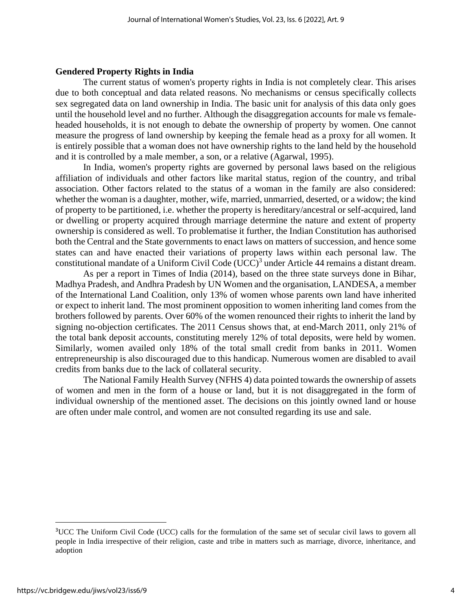#### **Gendered Property Rights in India**

The current status of women's property rights in India is not completely clear. This arises due to both conceptual and data related reasons. No mechanisms or census specifically collects sex segregated data on land ownership in India. The basic unit for analysis of this data only goes until the household level and no further. Although the disaggregation accounts for male vs femaleheaded households, it is not enough to debate the ownership of property by women. One cannot measure the progress of land ownership by keeping the female head as a proxy for all women. It is entirely possible that a woman does not have ownership rights to the land held by the household and it is controlled by a male member, a son, or a relative (Agarwal, 1995).

In India, women's property rights are governed by personal laws based on the religious affiliation of individuals and other factors like marital status, region of the country, and tribal association. Other factors related to the status of a woman in the family are also considered: whether the woman is a daughter, mother, wife, married, unmarried, deserted, or a widow; the kind of property to be partitioned, i.e. whether the property is hereditary/ancestral or self-acquired, land or dwelling or property acquired through marriage determine the nature and extent of property ownership is considered as well. To problematise it further, the Indian Constitution has authorised both the Central and the State governments to enact laws on matters of succession, and hence some states can and have enacted their variations of property laws within each personal law. The constitutional mandate of a Uniform Civil Code  $(UCC)^3$  under Article 44 remains a distant dream.

As per a report in Times of India (2014), based on the three state surveys done in Bihar, Madhya Pradesh, and Andhra Pradesh by UN Women and the organisation, LANDESA, a member of the International Land Coalition, only 13% of women whose parents own land have inherited or expect to inherit land. The most prominent opposition to women inheriting land comes from the brothers followed by parents. Over 60% of the women renounced their rights to inherit the land by signing no-objection certificates. The 2011 Census shows that, at end-March 2011, only 21% of the total bank deposit accounts, constituting merely 12% of total deposits, were held by women. Similarly, women availed only 18% of the total small credit from banks in 2011. Women entrepreneurship is also discouraged due to this handicap. Numerous women are disabled to avail credits from banks due to the lack of collateral security.

The National Family Health Survey (NFHS 4) data pointed towards the ownership of assets of women and men in the form of a house or land, but it is not disaggregated in the form of individual ownership of the mentioned asset. The decisions on this jointly owned land or house are often under male control, and women are not consulted regarding its use and sale.

<sup>&</sup>lt;sup>3</sup>UCC The Uniform Civil Code (UCC) calls for the formulation of the same set of secular civil laws to govern all people in India irrespective of their religion, caste and tribe in matters such as marriage, divorce, inheritance, and adoption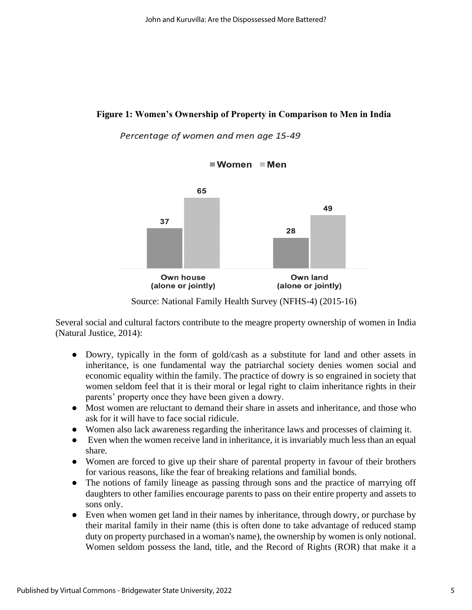## **Figure 1: Women's Ownership of Property in Comparison to Men in India**

### Percentage of women and men age 15-49





Source: National Family Health Survey (NFHS-4) (2015-16)

Several social and cultural factors contribute to the meagre property ownership of women in India (Natural Justice, 2014):

- Dowry, typically in the form of gold/cash as a substitute for land and other assets in inheritance, is one fundamental way the patriarchal society denies women social and economic equality within the family. The practice of dowry is so engrained in society that women seldom feel that it is their moral or legal right to claim inheritance rights in their parents' property once they have been given a dowry.
- Most women are reluctant to demand their share in assets and inheritance, and those who ask for it will have to face social ridicule.
- Women also lack awareness regarding the inheritance laws and processes of claiming it.
- Even when the women receive land in inheritance, it is invariably much less than an equal share.
- Women are forced to give up their share of parental property in favour of their brothers for various reasons, like the fear of breaking relations and familial bonds.
- The notions of family lineage as passing through sons and the practice of marrying off daughters to other families encourage parents to pass on their entire property and assets to sons only.
- Even when women get land in their names by inheritance, through dowry, or purchase by their marital family in their name (this is often done to take advantage of reduced stamp duty on property purchased in a woman's name), the ownership by women is only notional. Women seldom possess the land, title, and the Record of Rights (ROR) that make it a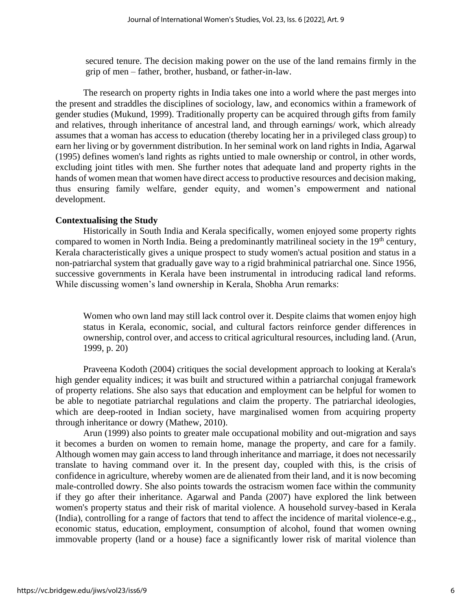secured tenure. The decision making power on the use of the land remains firmly in the grip of men – father, brother, husband, or father-in-law.

The research on property rights in India takes one into a world where the past merges into the present and straddles the disciplines of sociology, law, and economics within a framework of gender studies (Mukund, 1999). Traditionally property can be acquired through gifts from family and relatives, through inheritance of ancestral land, and through earnings/ work, which already assumes that a woman has access to education (thereby locating her in a privileged class group) to earn her living or by government distribution. In her seminal work on land rights in India, Agarwal (1995) defines women's land rights as rights untied to male ownership or control, in other words, excluding joint titles with men. She further notes that adequate land and property rights in the hands of women mean that women have direct access to productive resources and decision making, thus ensuring family welfare, gender equity, and women's empowerment and national development.

#### **Contextualising the Study**

Historically in South India and Kerala specifically, women enjoyed some property rights compared to women in North India. Being a predominantly matrilineal society in the 19<sup>th</sup> century, Kerala characteristically gives a unique prospect to study women's actual position and status in a non-patriarchal system that gradually gave way to a rigid brahminical patriarchal one. Since 1956, successive governments in Kerala have been instrumental in introducing radical land reforms. While discussing women's land ownership in Kerala, Shobha Arun remarks:

Women who own land may still lack control over it. Despite claims that women enjoy high status in Kerala, economic, social, and cultural factors reinforce gender differences in ownership, control over, and access to critical agricultural resources, including land. (Arun, 1999, p. 20)

Praveena Kodoth (2004) critiques the social development approach to looking at Kerala's high gender equality indices; it was built and structured within a patriarchal conjugal framework of property relations. She also says that education and employment can be helpful for women to be able to negotiate patriarchal regulations and claim the property. The patriarchal ideologies, which are deep-rooted in Indian society, have marginalised women from acquiring property through inheritance or dowry (Mathew, 2010).

Arun (1999) also points to greater male occupational mobility and out-migration and says it becomes a burden on women to remain home, manage the property, and care for a family. Although women may gain access to land through inheritance and marriage, it does not necessarily translate to having command over it. In the present day, coupled with this, is the crisis of confidence in agriculture, whereby women are de alienated from their land, and it is now becoming male-controlled dowry. She also points towards the ostracism women face within the community if they go after their inheritance. Agarwal and Panda (2007) have explored the link between women's property status and their risk of marital violence. A household survey-based in Kerala (India), controlling for a range of factors that tend to affect the incidence of marital violence-e.g., economic status, education, employment, consumption of alcohol, found that women owning immovable property (land or a house) face a significantly lower risk of marital violence than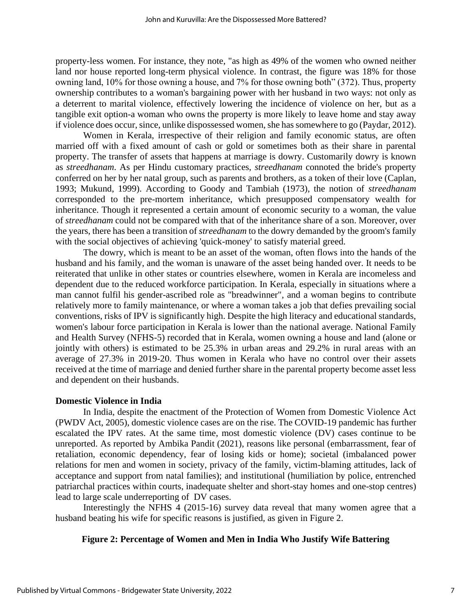property-less women. For instance, they note, "as high as 49% of the women who owned neither land nor house reported long-term physical violence. In contrast, the figure was 18% for those owning land, 10% for those owning a house, and 7% for those owning both" (372). Thus, property ownership contributes to a woman's bargaining power with her husband in two ways: not only as a deterrent to marital violence, effectively lowering the incidence of violence on her, but as a tangible exit option-a woman who owns the property is more likely to leave home and stay away if violence does occur, since, unlike dispossessed women, she has somewhere to go (Paydar, 2012).

Women in Kerala, irrespective of their religion and family economic status, are often married off with a fixed amount of cash or gold or sometimes both as their share in parental property. The transfer of assets that happens at marriage is dowry. Customarily dowry is known as *streedhanam*. As per Hindu customary practices, *streedhanam* connoted the bride's property conferred on her by her natal group, such as parents and brothers, as a token of their love (Caplan, 1993; Mukund, 1999). According to Goody and Tambiah (1973), the notion of *streedhanam* corresponded to the pre-mortem inheritance, which presupposed compensatory wealth for inheritance. Though it represented a certain amount of economic security to a woman, the value of *streedhanam* could not be compared with that of the inheritance share of a son. Moreover, over the years, there has been a transition of *streedhanam* to the dowry demanded by the groom's family with the social objectives of achieving 'quick-money' to satisfy material greed.

The dowry, which is meant to be an asset of the woman, often flows into the hands of the husband and his family, and the woman is unaware of the asset being handed over. It needs to be reiterated that unlike in other states or countries elsewhere, women in Kerala are incomeless and dependent due to the reduced workforce participation. In Kerala, especially in situations where a man cannot fulfil his gender-ascribed role as "breadwinner", and a woman begins to contribute relatively more to family maintenance, or where a woman takes a job that defies prevailing social conventions, risks of IPV is significantly high. Despite the high literacy and educational standards, women's labour force participation in Kerala is lower than the national average. National Family and Health Survey (NFHS-5) recorded that in Kerala, women owning a house and land (alone or jointly with others) is estimated to be 25.3% in urban areas and 29.2% in rural areas with an average of 27.3% in 2019-20. Thus women in Kerala who have no control over their assets received at the time of marriage and denied further share in the parental property become asset less and dependent on their husbands.

#### **Domestic Violence in India**

In India, despite the enactment of the Protection of Women from Domestic Violence Act (PWDV Act, 2005), domestic violence cases are on the rise. The COVID-19 pandemic has further escalated the IPV rates. At the same time, most domestic violence (DV) cases continue to be unreported. As reported by Ambika Pandit (2021), reasons like personal (embarrassment, fear of retaliation, economic dependency, fear of losing kids or home); societal (imbalanced power relations for men and women in society, privacy of the family, victim-blaming attitudes, lack of acceptance and support from natal families); and institutional (humiliation by police, entrenched patriarchal practices within courts, inadequate shelter and short-stay homes and one-stop centres) lead to large scale underreporting of DV cases.

Interestingly the NFHS 4 (2015-16) survey data reveal that many women agree that a husband beating his wife for specific reasons is justified, as given in Figure 2.

#### **Figure 2: Percentage of Women and Men in India Who Justify Wife Battering**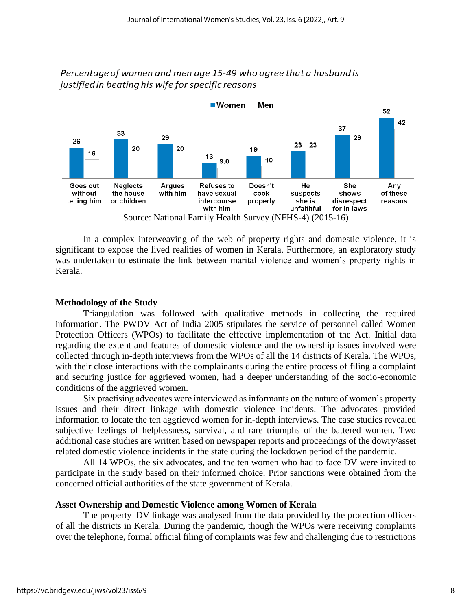



In a complex interweaving of the web of property rights and domestic violence, it is significant to expose the lived realities of women in Kerala. Furthermore, an exploratory study was undertaken to estimate the link between marital violence and women's property rights in Kerala.

#### **Methodology of the Study**

Triangulation was followed with qualitative methods in collecting the required information. The PWDV Act of India 2005 stipulates the service of personnel called Women Protection Officers (WPOs) to facilitate the effective implementation of the Act. Initial data regarding the extent and features of domestic violence and the ownership issues involved were collected through in-depth interviews from the WPOs of all the 14 districts of Kerala. The WPOs, with their close interactions with the complainants during the entire process of filing a complaint and securing justice for aggrieved women, had a deeper understanding of the socio-economic conditions of the aggrieved women.

Six practising advocates were interviewed as informants on the nature of women's property issues and their direct linkage with domestic violence incidents. The advocates provided information to locate the ten aggrieved women for in-depth interviews. The case studies revealed subjective feelings of helplessness, survival, and rare triumphs of the battered women. Two additional case studies are written based on newspaper reports and proceedings of the dowry/asset related domestic violence incidents in the state during the lockdown period of the pandemic.

All 14 WPOs, the six advocates, and the ten women who had to face DV were invited to participate in the study based on their informed choice. Prior sanctions were obtained from the concerned official authorities of the state government of Kerala.

#### **Asset Ownership and Domestic Violence among Women of Kerala**

The property–DV linkage was analysed from the data provided by the protection officers of all the districts in Kerala. During the pandemic, though the WPOs were receiving complaints over the telephone, formal official filing of complaints was few and challenging due to restrictions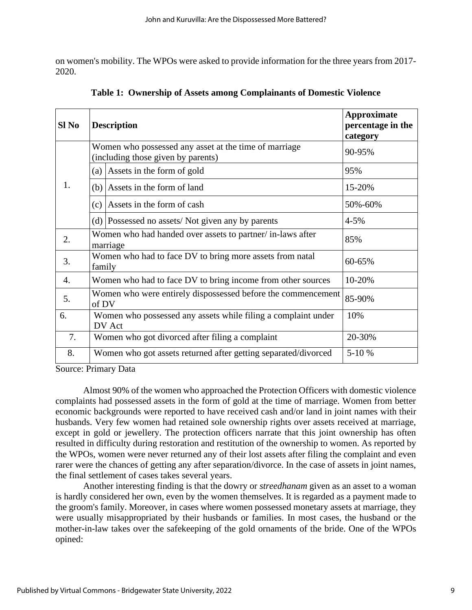on women's mobility. The WPOs were asked to provide information for the three years from 2017- 2020.

| Sl No | <b>Description</b>                                                                          | <b>Approximate</b><br>percentage in the<br>category |
|-------|---------------------------------------------------------------------------------------------|-----------------------------------------------------|
| 1.    | Women who possessed any asset at the time of marriage<br>(including those given by parents) | 90-95%                                              |
|       | Assets in the form of gold<br>(a)                                                           | 95%                                                 |
|       | Assets in the form of land<br>(b)                                                           | 15-20%                                              |
|       | Assets in the form of cash<br>(c)                                                           | 50%-60%                                             |
|       | $(d)$ Possessed no assets/Not given any by parents                                          | $4 - 5%$                                            |
| 2.    | Women who had handed over assets to partner/ in-laws after<br>marriage                      | 85%                                                 |
| 3.    | Women who had to face DV to bring more assets from natal<br>family                          | 60-65%                                              |
| 4.    | Women who had to face DV to bring income from other sources                                 | 10-20%                                              |
| 5.    | Women who were entirely dispossessed before the commencement<br>of DV                       | 85-90%                                              |
| 6.    | Women who possessed any assets while filing a complaint under<br>DV Act                     | 10%                                                 |
| 7.    | Women who got divorced after filing a complaint                                             | 20-30%                                              |
| 8.    | Women who got assets returned after getting separated/divorced                              | 5-10 %                                              |

**Table 1: Ownership of Assets among Complainants of Domestic Violence**

Source: Primary Data

Almost 90% of the women who approached the Protection Officers with domestic violence complaints had possessed assets in the form of gold at the time of marriage. Women from better economic backgrounds were reported to have received cash and/or land in joint names with their husbands. Very few women had retained sole ownership rights over assets received at marriage, except in gold or jewellery. The protection officers narrate that this joint ownership has often resulted in difficulty during restoration and restitution of the ownership to women. As reported by the WPOs, women were never returned any of their lost assets after filing the complaint and even rarer were the chances of getting any after separation/divorce. In the case of assets in joint names, the final settlement of cases takes several years.

Another interesting finding is that the dowry or *streedhanam* given as an asset to a woman is hardly considered her own, even by the women themselves. It is regarded as a payment made to the groom's family. Moreover, in cases where women possessed monetary assets at marriage, they were usually misappropriated by their husbands or families. In most cases, the husband or the mother-in-law takes over the safekeeping of the gold ornaments of the bride. One of the WPOs opined: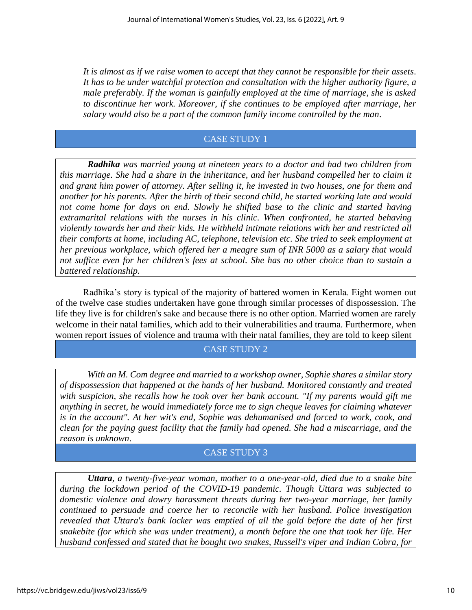*It is almost as if we raise women to accept that they cannot be responsible for their assets*. *It has to be under watchful protection and consultation with the higher authority figure, a male preferably. If the woman is gainfully employed at the time of marriage, she is asked to discontinue her work. Moreover, if she continues to be employed after marriage, her salary would also be a part of the common family income controlled by the man*.

# CASE STUDY 1

*Radhika was married young at nineteen years to a doctor and had two children from this marriage. She had a share in the inheritance, and her husband compelled her to claim it and grant him power of attorney. After selling it, he invested in two houses, one for them and another for his parents. After the birth of their second child, he started working late and would*  not come home for days on end. Slowly he shifted base to the clinic and started having *extramarital relations with the nurses in his clinic. When confronted, he started behaving violently towards her and their kids. He withheld intimate relations with her and restricted all their comforts at home, including AC, telephone, television etc. She tried to seek employment at her previous workplace, which offered her a meagre sum of INR 5000 as a salary that would not suffice even for her children's fees at school. She has no other choice than to sustain a battered relationship.*

Radhika's story is typical of the majority of battered women in Kerala. Eight women out of the twelve case studies undertaken have gone through similar processes of dispossession. The life they live is for children's sake and because there is no other option. Married women are rarely welcome in their natal families, which add to their vulnerabilities and trauma. Furthermore, when women report issues of violence and trauma with their natal families, they are told to keep silent

# CASE STUDY 2

*With an M. Com degree and married to a workshop owner, Sophie shares a similar story of dispossession that happened at the hands of her husband. Monitored constantly and treated with suspicion, she recalls how he took over her bank account. "If my parents would gift me anything in secret, he would immediately force me to sign cheque leaves for claiming whatever is in the account". At her wit's end, Sophie was dehumanised and forced to work, cook, and clean for the paying guest facility that the family had opened. She had a miscarriage, and the reason is unknown*.

# CASE STUDY 3

*Uttara, a twenty-five-year woman, mother to a one-year-old, died due to a snake bite during the lockdown period of the COVID-19 pandemic. Though Uttara was subjected to domestic violence and dowry harassment threats during her two-year marriage, her family continued to persuade and coerce her to reconcile with her husband. Police investigation revealed that Uttara's bank locker was emptied of all the gold before the date of her first snakebite (for which she was under treatment), a month before the one that took her life. Her husband confessed and stated that he bought two snakes, Russell's viper and Indian Cobra, for*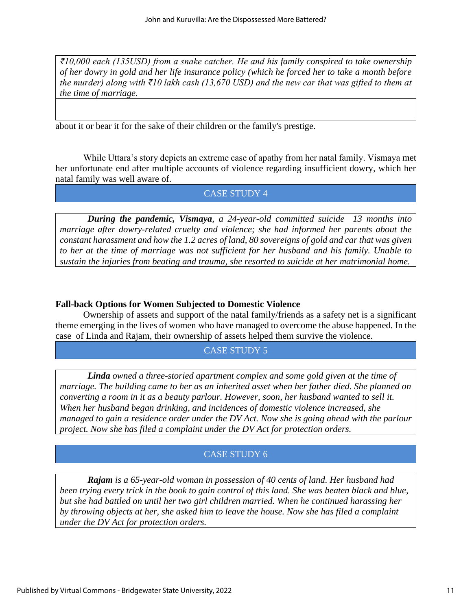*₹10,000 each (135USD) from a snake catcher. He and his family conspired to take ownership of her dowry in gold and her life insurance policy (which he forced her to take a month before the murder) along with ₹10 lakh cash (13,670 USD) and the new car that was gifted to them at the time of marriage.*

about it or bear it for the sake of their children or the family's prestige.

While Uttara's story depicts an extreme case of apathy from her natal family. Vismaya met her unfortunate end after multiple accounts of violence regarding insufficient dowry, which her natal family was well aware of.

# CASE STUDY 4

*During the pandemic, Vismaya, a 24-year-old committed suicide 13 months into marriage after dowry-related cruelty and violence; she had informed her parents about the constant harassment and how the 1.2 acres of land, 80 sovereigns of gold and car that was given to her at the time of marriage was not sufficient for her husband and his family. Unable to sustain the injuries from beating and trauma, she resorted to suicide at her matrimonial home.*

### **Fall-back Options for Women Subjected to Domestic Violence**

Ownership of assets and support of the natal family/friends as a safety net is a significant theme emerging in the lives of women who have managed to overcome the abuse happened*.* In the case of Linda and Rajam, their ownership of assets helped them survive the violence.

# CASE STUDY 5

*Linda owned a three-storied apartment complex and some gold given at the time of marriage. The building came to her as an inherited asset when her father died. She planned on converting a room in it as a beauty parlour. However, soon, her husband wanted to sell it. When her husband began drinking, and incidences of domestic violence increased, she managed to gain a residence order under the DV Act. Now she is going ahead with the parlour project. Now she has filed a complaint under the DV Act for protection orders.* 

# CASE STUDY 6

*Rajam is a 65-year-old woman in possession of 40 cents of land. Her husband had been trying every trick in the book to gain control of this land. She was beaten black and blue, but she had battled on until her two girl children married. When he continued harassing her by throwing objects at her, she asked him to leave the house. Now she has filed a complaint under the DV Act for protection orders.*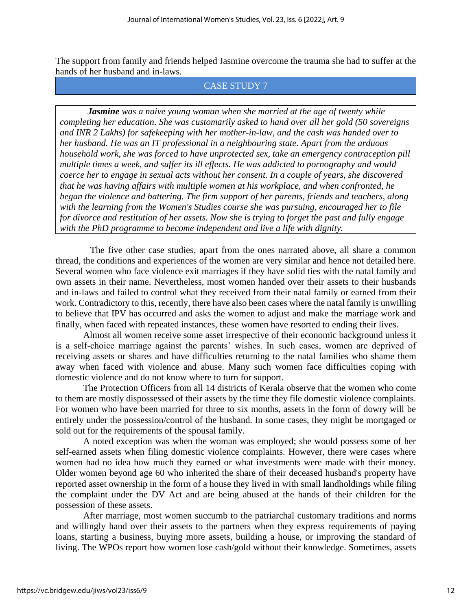The support from family and friends helped Jasmine overcome the trauma she had to suffer at the hands of her husband and in-laws.

# CASE STUDY 7

*Jasmine was a naive young woman when she married at the age of twenty while completing her education. She was customarily asked to hand over all her gold (50 sovereigns and INR 2 Lakhs) for safekeeping with her mother-in-law, and the cash was handed over to her husband. He was an IT professional in a neighbouring state. Apart from the arduous household work, she was forced to have unprotected sex, take an emergency contraception pill multiple times a week, and suffer its ill effects. He was addicted to pornography and would coerce her to engage in sexual acts without her consent. In a couple of years, she discovered that he was having affairs with multiple women at his workplace, and when confronted, he began the violence and battering. The firm support of her parents, friends and teachers, along with the learning from the Women's Studies course she was pursuing, encouraged her to file for divorce and restitution of her assets. Now she is trying to forget the past and fully engage with the PhD programme to become independent and live a life with dignity.*

The five other case studies, apart from the ones narrated above, all share a common thread, the conditions and experiences of the women are very similar and hence not detailed here. Several women who face violence exit marriages if they have solid ties with the natal family and own assets in their name. Nevertheless, most women handed over their assets to their husbands and in-laws and failed to control what they received from their natal family or earned from their work. Contradictory to this, recently, there have also been cases where the natal family is unwilling to believe that IPV has occurred and asks the women to adjust and make the marriage work and finally, when faced with repeated instances, these women have resorted to ending their lives.

Almost all women receive some asset irrespective of their economic background unless it is a self-choice marriage against the parents' wishes. In such cases, women are deprived of receiving assets or shares and have difficulties returning to the natal families who shame them away when faced with violence and abuse. Many such women face difficulties coping with domestic violence and do not know where to turn for support.

The Protection Officers from all 14 districts of Kerala observe that the women who come to them are mostly dispossessed of their assets by the time they file domestic violence complaints. For women who have been married for three to six months, assets in the form of dowry will be entirely under the possession/control of the husband. In some cases, they might be mortgaged or sold out for the requirements of the spousal family.

A noted exception was when the woman was employed; she would possess some of her self-earned assets when filing domestic violence complaints. However, there were cases where women had no idea how much they earned or what investments were made with their money. Older women beyond age 60 who inherited the share of their deceased husband's property have reported asset ownership in the form of a house they lived in with small landholdings while filing the complaint under the DV Act and are being abused at the hands of their children for the possession of these assets.

After marriage, most women succumb to the patriarchal customary traditions and norms and willingly hand over their assets to the partners when they express requirements of paying loans, starting a business, buying more assets, building a house, or improving the standard of living. The WPOs report how women lose cash/gold without their knowledge. Sometimes, assets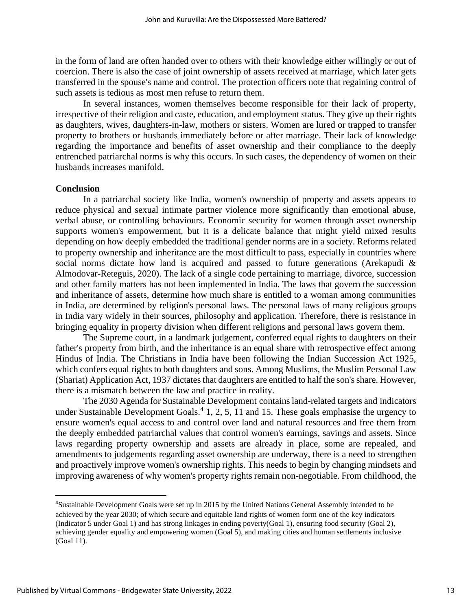in the form of land are often handed over to others with their knowledge either willingly or out of coercion. There is also the case of joint ownership of assets received at marriage, which later gets transferred in the spouse's name and control. The protection officers note that regaining control of such assets is tedious as most men refuse to return them.

In several instances, women themselves become responsible for their lack of property, irrespective of their religion and caste, education, and employment status. They give up their rights as daughters, wives, daughters-in-law, mothers or sisters. Women are lured or trapped to transfer property to brothers or husbands immediately before or after marriage. Their lack of knowledge regarding the importance and benefits of asset ownership and their compliance to the deeply entrenched patriarchal norms is why this occurs. In such cases, the dependency of women on their husbands increases manifold.

#### **Conclusion**

In a patriarchal society like India, women's ownership of property and assets appears to reduce physical and sexual intimate partner violence more significantly than emotional abuse, verbal abuse, or controlling behaviours. Economic security for women through asset ownership supports women's empowerment, but it is a delicate balance that might yield mixed results depending on how deeply embedded the traditional gender norms are in a society. Reforms related to property ownership and inheritance are the most difficult to pass, especially in countries where social norms dictate how land is acquired and passed to future generations (Arekapudi & Almodovar-Reteguis, 2020). The lack of a single code pertaining to marriage, divorce, succession and other family matters has not been implemented in India. The laws that govern the succession and inheritance of assets, determine how much share is entitled to a woman among communities in India, are determined by religion's personal laws. The personal laws of many religious groups in India vary widely in their sources, philosophy and application. Therefore, there is resistance in bringing equality in property division when different religions and personal laws govern them.

The Supreme court, in a landmark judgement, conferred equal rights to daughters on their father's property from birth, and the inheritance is an equal share with retrospective effect among Hindus of India. The Christians in India have been following the Indian Succession Act 1925, which confers equal rights to both daughters and sons. Among Muslims, the Muslim Personal Law (Shariat) Application Act, 1937 dictates that daughters are entitled to half the son's share. However, there is a mismatch between the law and practice in reality.

The 2030 Agenda for Sustainable Development contains land-related targets and indicators under Sustainable Development Goals. $4$  1, 2, 5, 11 and 15. These goals emphasise the urgency to ensure women's equal access to and control over land and natural resources and free them from the deeply embedded patriarchal values that control women's earnings, savings and assets. Since laws regarding property ownership and assets are already in place, some are repealed, and amendments to judgements regarding asset ownership are underway, there is a need to strengthen and proactively improve women's ownership rights. This needs to begin by changing mindsets and improving awareness of why women's property rights remain non-negotiable. From childhood, the

<sup>4</sup>Sustainable Development Goals were set up in 2015 by the United Nations General Assembly intended to be achieved by the year 2030; of which secure and equitable land rights of women form one of the key indicators (Indicator 5 under Goal 1) and has strong linkages in ending poverty(Goal 1), ensuring food security (Goal 2), achieving gender equality and empowering women (Goal 5), and making cities and human settlements inclusive (Goal 11).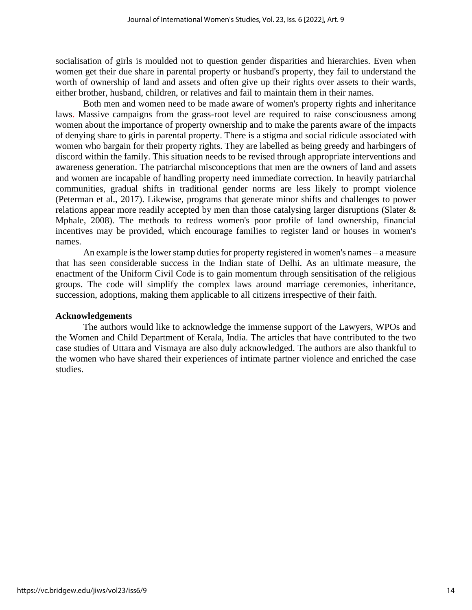socialisation of girls is moulded not to question gender disparities and hierarchies. Even when women get their due share in parental property or husband's property, they fail to understand the worth of ownership of land and assets and often give up their rights over assets to their wards, either brother, husband, children, or relatives and fail to maintain them in their names.

Both men and women need to be made aware of women's property rights and inheritance laws. Massive campaigns from the grass-root level are required to raise consciousness among women about the importance of property ownership and to make the parents aware of the impacts of denying share to girls in parental property. There is a stigma and social ridicule associated with women who bargain for their property rights. They are labelled as being greedy and harbingers of discord within the family. This situation needs to be revised through appropriate interventions and awareness generation. The patriarchal misconceptions that men are the owners of land and assets and women are incapable of handling property need immediate correction. In heavily patriarchal communities, gradual shifts in traditional gender norms are less likely to prompt violence (Peterman et al., 2017). Likewise, programs that generate minor shifts and challenges to power relations appear more readily accepted by men than those catalysing larger disruptions (Slater & Mphale, 2008). The methods to redress women's poor profile of land ownership, financial incentives may be provided, which encourage families to register land or houses in women's names.

An example is the lower stamp duties for property registered in women's names – a measure that has seen considerable success in the Indian state of Delhi. As an ultimate measure, the enactment of the Uniform Civil Code is to gain momentum through sensitisation of the religious groups. The code will simplify the complex laws around marriage ceremonies, inheritance, succession, adoptions, making them applicable to all citizens irrespective of their faith.

#### **Acknowledgements**

The authors would like to acknowledge the immense support of the Lawyers, WPOs and the Women and Child Department of Kerala, India. The articles that have contributed to the two case studies of Uttara and Vismaya are also duly acknowledged. The authors are also thankful to the women who have shared their experiences of intimate partner violence and enriched the case studies.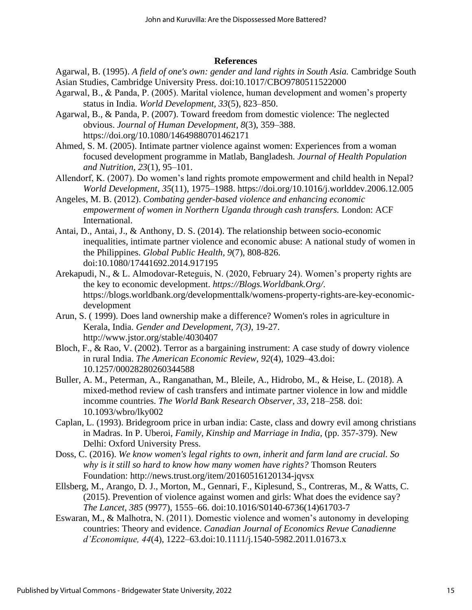#### **References**

Agarwal, B. (1995). *A field of one's own: gender and land rights in South Asia.* Cambridge South Asian Studies, Cambridge University Press. doi:10.1017/CBO9780511522000

- Agarwal, B., & Panda, P. (2005). Marital violence, human development and women's property status in India. *World Development, 33*(5), 823–850.
- Agarwal, B., & Panda, P. (2007). Toward freedom from domestic violence: The neglected obvious. *Journal of Human Development*, *8*(3), 359–388. <https://doi.org/10.1080/14649880701462171>
- Ahmed, S. M. (2005). Intimate partner violence against women: Experiences from a woman focused development programme in Matlab, Bangladesh. *Journal of Health Population and Nutrition, 23*(1), 95–101.
- Allendorf, K. (2007). Do women's land rights promote empowerment and child health in Nepal? *World Development*, *35*(11), 1975–1988.<https://doi.org/10.1016/j.worlddev.2006.12.005>
- Angeles, M. B. (2012). *Combating gender-based violence and enhancing economic empowerment of women in Northern Uganda through cash transfers.* London: ACF International.
- Antai, D., Antai, J., & Anthony, D. S. (2014). The relationship between socio-economic inequalities, intimate partner violence and economic abuse: A national study of women in the Philippines. *Global Public Health, 9*(7), 808-826. doi:10.1080/17441692.2014.917195
- Arekapudi, N., & L. Almodovar-Reteguis, N. (2020, February 24). Women's property rights are the key to economic development. *https://Blogs.Worldbank.Org/*. https://blogs.worldbank.org/developmenttalk/womens-property-rights-are-key-economicdevelopment
- Arun, S. ( 1999). Does land ownership make a difference? Women's roles in agriculture in Kerala, India. *Gender and Development, 7(3)*, 19-27. <http://www.jstor.org/stable/4030407>
- Bloch, F., & Rao, V. (2002). Terror as a bargaining instrument: A case study of dowry violence in rural India. *The American Economic Review, 92*(4), 1029–43.doi: 10.1257/00028280260344588
- Buller, A. M., Peterman, A., Ranganathan, M., Bleile, A., Hidrobo, M., & Heise, L. (2018). A mixed-method review of cash transfers and intimate partner violence in low and middle incomme countries. *The World Bank Research Observer, 33*, 218–258. doi: 10.1093/wbro/lky002
- Caplan, L. (1993). Bridegroom price in urban india: Caste, class and dowry evil among christians in Madras. In P. Uberoi, *Family, Kinship and Marriage in India,* (pp. 357-379). New Delhi: Oxford University Press.
- Doss, C. (2016). *We know women's legal rights to own, inherit and farm land are crucial. So why is it still so hard to know how many women have rights?* Thomson Reuters Foundation:<http://news.trust.org/item/20160516120134-jqvsx>
- Ellsberg, M., Arango, D. J., Morton, M., Gennari, F., Kiplesund, S., Contreras, M., & Watts, C. (2015). Prevention of violence against women and girls: What does the evidence say? *The Lancet, 385* (9977), 1555–66. doi:10.1016/S0140-6736(14)61703-7
- Eswaran, M., & Malhotra, N. (2011). Domestic violence and women's autonomy in developing countries: Theory and evidence. *Canadian Journal of Economics Revue Canadienne d'Economique, 44*(4), 1222–63.doi:10.1111/j.1540-5982.2011.01673.x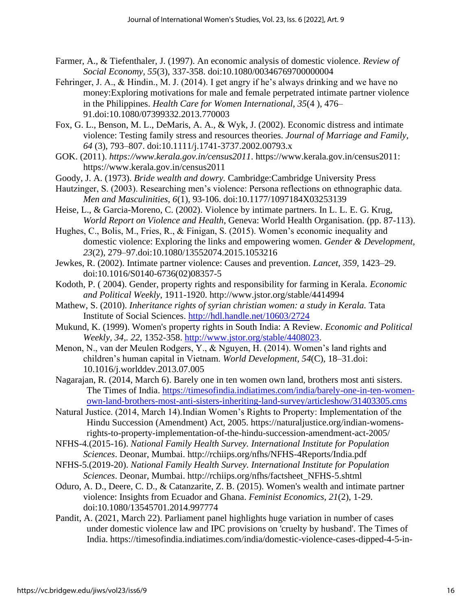- Farmer, A., & Tiefenthaler, J. (1997). An economic analysis of domestic violence. *Review of Social Economy, 55*(3), 337-358. doi:10.1080/00346769700000004
- Fehringer, J. A., & Hindin., M. J. (2014). I get angry if he's always drinking and we have no money:Exploring motivations for male and female perpetrated intimate partner violence in the Philippines. *Health Care for Women International, 35*(4 ), 476– 91.doi:10.1080/07399332.2013.770003
- Fox, G. L., Benson, M. L., DeMaris, A. A., & Wyk, J. (2002). Economic distress and intimate violence: Testing family stress and resources theories. *Journal of Marriage and Family, 64* (3), 793–807. doi:10.1111/j.1741-3737.2002.00793.x
- GOK. (2011). *https://www.kerala.gov.in/census2011*. https://www.kerala.gov.in/census2011: https://www.kerala.gov.in/census2011
- Goody, J. A. (1973). *Bride wealth and dowry.* Cambridge:Cambridge University Press
- Hautzinger, S. (2003). Researching men's violence: Persona reflections on ethnographic data. *Men and Masculinities, 6*(1), 93-106. doi:10.1177/1097184X03253139
- Heise, L., & Garcia-Moreno, C. (2002). Violence by intimate partners. In L. L. E. G. Krug, *World Report on Violence and Health*, Geneva: World Health Organisation. (pp. 87-113).
- Hughes, C., Bolis, M., Fries, R., & Finigan, S. (2015). Women's economic inequality and domestic violence: Exploring the links and empowering women. *Gender & Development, 23*(2), 279–97.doi:10.1080/13552074.2015.1053216
- Jewkes, R. (2002). Intimate partner violence: Causes and prevention. *Lancet, 359*, 1423–29. doi:10.1016/S0140-6736(02)08357-5
- Kodoth, P. ( 2004). Gender, property rights and responsibility for farming in Kerala. *Economic and Political Weekly*, 1911-1920. http://www.jstor.org/stable/4414994
- Mathew, S. (2010). *Inheritance rights of syrian christian women: a study in Kerala.* Tata Institute of Social Sciences.<http://hdl.handle.net/10603/2724>
- Mukund, K. (1999). Women's property rights in South India: A Review. *Economic and Political Weekly, 34,. 22*, 1352-358. [http://www.jstor.org/stable/4408023.](http://www.jstor.org/stable/4408023)
- Menon, N., van der Meulen Rodgers, Y., & Nguyen, H. (2014). Women's land rights and children's human capital in Vietnam. *World Development*, *54*(C), 18–31.doi: 10.1016/j.worlddev.2013.07.005
- Nagarajan, R. (2014, March 6). Barely one in ten women own land, brothers most anti sisters. The Times of India. [https://timesofindia.indiatimes.com/india/barely-one-in-ten-women](https://timesofindia.indiatimes.com/india/barely-one-in-ten-women-own-land-brothers-most-anti-sisters-inheriting-land-survey/articleshow/31403305.cms)[own-land-brothers-most-anti-sisters-inheriting-land-survey/articleshow/31403305.cms](https://timesofindia.indiatimes.com/india/barely-one-in-ten-women-own-land-brothers-most-anti-sisters-inheriting-land-survey/articleshow/31403305.cms)
- Natural Justice. (2014, March 14).Indian Women's Rights to Property: Implementation of the Hindu Succession (Amendment) Act, 2005. [https://naturaljustice.org/indian-womens](https://naturaljustice.org/indian-womens-rights-to-property-implementation-of-the-hindu-succession-amendment-act-2005/)[rights-to-property-implementation-of-the-hindu-succession-amendment-act-2005/](https://naturaljustice.org/indian-womens-rights-to-property-implementation-of-the-hindu-succession-amendment-act-2005/)
- NFHS-4.(2015-16). *National Family Health Survey. International Institute for Population Sciences*. Deonar, Mumbai.<http://rchiips.org/nfhs/NFHS-4Reports/India.pdf>
- NFHS-5.(2019-20). *National Family Health Survey. International Institute for Population Sciences*. Deonar, Mumbai. http://rchiips.org/nfhs/factsheet\_NFHS-5.shtml
- Oduro, A. D., Deere, C. D., & Catanzarite, Z. B. (2015). Women's wealth and intimate partner violence: Insights from Ecuador and Ghana. *Feminist Economics, 21*(2), 1-29. doi:10.1080/13545701.2014.997774
- Pandit, A. (2021, March 22). Parliament panel highlights huge variation in number of cases under domestic violence law and IPC provisions on 'cruelty by husband'. The Times of India. https://timesofindia.indiatimes.com/india/domestic-violence-cases-dipped-4-5-in-